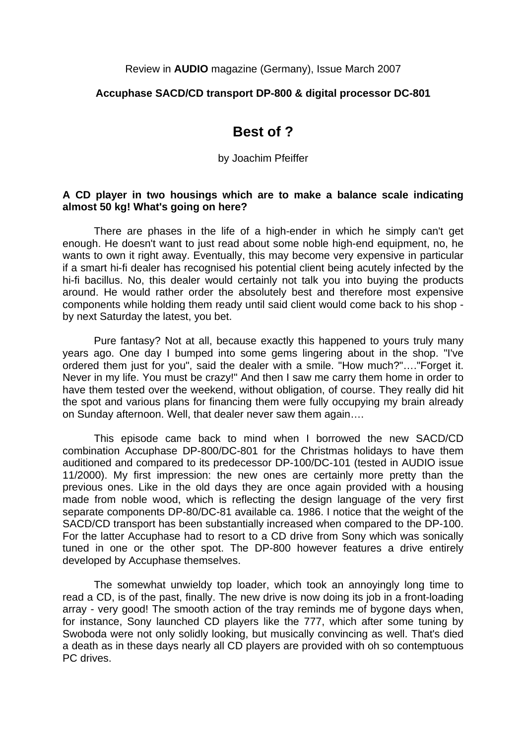#### Review in **AUDIO** magazine (Germany), Issue March 2007

### **Accuphase SACD/CD transport DP-800 & digital processor DC-801**

# **Best of ?**

by Joachim Pfeiffer

#### **A CD player in two housings which are to make a balance scale indicating almost 50 kg! What's going on here?**

 There are phases in the life of a high-ender in which he simply can't get enough. He doesn't want to just read about some noble high-end equipment, no, he wants to own it right away. Eventually, this may become very expensive in particular if a smart hi-fi dealer has recognised his potential client being acutely infected by the hi-fi bacillus. No, this dealer would certainly not talk you into buying the products around. He would rather order the absolutely best and therefore most expensive components while holding them ready until said client would come back to his shop by next Saturday the latest, you bet.

 Pure fantasy? Not at all, because exactly this happened to yours truly many years ago. One day I bumped into some gems lingering about in the shop. "I've ordered them just for you", said the dealer with a smile. "How much?"…."Forget it. Never in my life. You must be crazy!" And then I saw me carry them home in order to have them tested over the weekend, without obligation, of course. They really did hit the spot and various plans for financing them were fully occupying my brain already on Sunday afternoon. Well, that dealer never saw them again….

 This episode came back to mind when I borrowed the new SACD/CD combination Accuphase DP-800/DC-801 for the Christmas holidays to have them auditioned and compared to its predecessor DP-100/DC-101 (tested in AUDIO issue 11/2000). My first impression: the new ones are certainly more pretty than the previous ones. Like in the old days they are once again provided with a housing made from noble wood, which is reflecting the design language of the very first separate components DP-80/DC-81 available ca. 1986. I notice that the weight of the SACD/CD transport has been substantially increased when compared to the DP-100. For the latter Accuphase had to resort to a CD drive from Sony which was sonically tuned in one or the other spot. The DP-800 however features a drive entirely developed by Accuphase themselves.

 The somewhat unwieldy top loader, which took an annoyingly long time to read a CD, is of the past, finally. The new drive is now doing its job in a front-loading array - very good! The smooth action of the tray reminds me of bygone days when, for instance, Sony launched CD players like the 777, which after some tuning by Swoboda were not only solidly looking, but musically convincing as well. That's died a death as in these days nearly all CD players are provided with oh so contemptuous PC drives.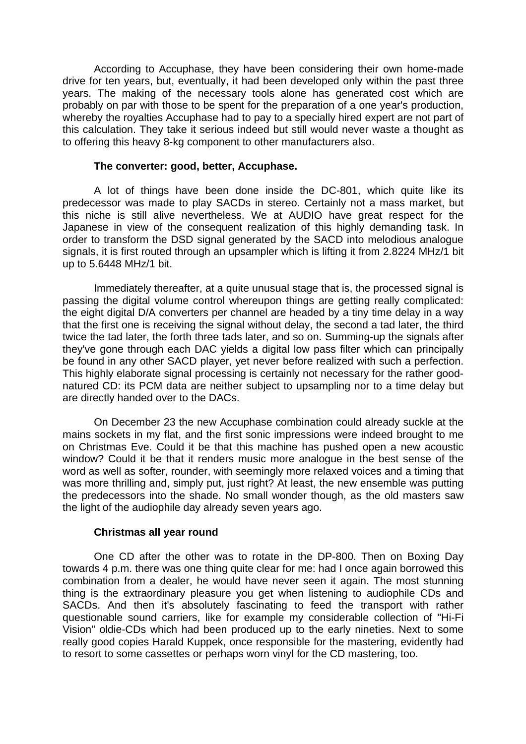According to Accuphase, they have been considering their own home-made drive for ten years, but, eventually, it had been developed only within the past three years. The making of the necessary tools alone has generated cost which are probably on par with those to be spent for the preparation of a one year's production, whereby the royalties Accuphase had to pay to a specially hired expert are not part of this calculation. They take it serious indeed but still would never waste a thought as to offering this heavy 8-kg component to other manufacturers also.

## **The converter: good, better, Accuphase.**

 A lot of things have been done inside the DC-801, which quite like its predecessor was made to play SACDs in stereo. Certainly not a mass market, but this niche is still alive nevertheless. We at AUDIO have great respect for the Japanese in view of the consequent realization of this highly demanding task. In order to transform the DSD signal generated by the SACD into melodious analogue signals, it is first routed through an upsampler which is lifting it from 2.8224 MHz/1 bit up to 5.6448 MHz/1 bit.

 Immediately thereafter, at a quite unusual stage that is, the processed signal is passing the digital volume control whereupon things are getting really complicated: the eight digital D/A converters per channel are headed by a tiny time delay in a way that the first one is receiving the signal without delay, the second a tad later, the third twice the tad later, the forth three tads later, and so on. Summing-up the signals after they've gone through each DAC yields a digital low pass filter which can principally be found in any other SACD player, yet never before realized with such a perfection. This highly elaborate signal processing is certainly not necessary for the rather goodnatured CD: its PCM data are neither subject to upsampling nor to a time delay but are directly handed over to the DACs.

 On December 23 the new Accuphase combination could already suckle at the mains sockets in my flat, and the first sonic impressions were indeed brought to me on Christmas Eve. Could it be that this machine has pushed open a new acoustic window? Could it be that it renders music more analogue in the best sense of the word as well as softer, rounder, with seemingly more relaxed voices and a timing that was more thrilling and, simply put, just right? At least, the new ensemble was putting the predecessors into the shade. No small wonder though, as the old masters saw the light of the audiophile day already seven years ago.

### **Christmas all year round**

 One CD after the other was to rotate in the DP-800. Then on Boxing Day towards 4 p.m. there was one thing quite clear for me: had I once again borrowed this combination from a dealer, he would have never seen it again. The most stunning thing is the extraordinary pleasure you get when listening to audiophile CDs and SACDs. And then it's absolutely fascinating to feed the transport with rather questionable sound carriers, like for example my considerable collection of "Hi-Fi Vision" oldie-CDs which had been produced up to the early nineties. Next to some really good copies Harald Kuppek, once responsible for the mastering, evidently had to resort to some cassettes or perhaps worn vinyl for the CD mastering, too.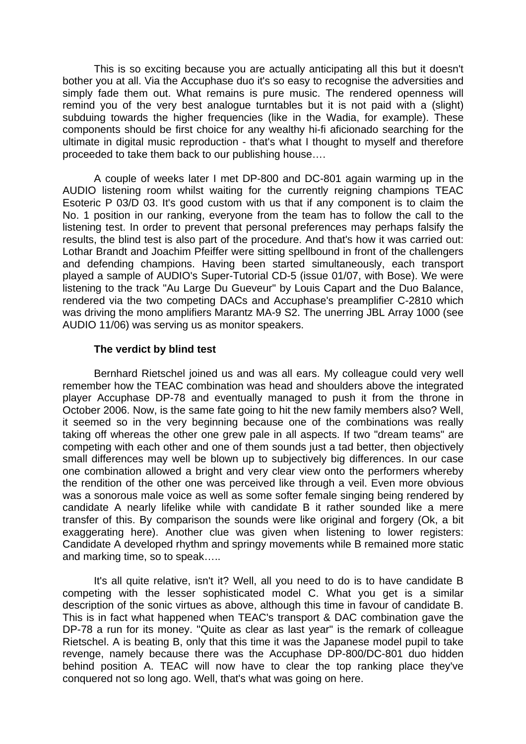This is so exciting because you are actually anticipating all this but it doesn't bother you at all. Via the Accuphase duo it's so easy to recognise the adversities and simply fade them out. What remains is pure music. The rendered openness will remind you of the very best analogue turntables but it is not paid with a (slight) subduing towards the higher frequencies (like in the Wadia, for example). These components should be first choice for any wealthy hi-fi aficionado searching for the ultimate in digital music reproduction - that's what I thought to myself and therefore proceeded to take them back to our publishing house….

 A couple of weeks later I met DP-800 and DC-801 again warming up in the AUDIO listening room whilst waiting for the currently reigning champions TEAC Esoteric P 03/D 03. It's good custom with us that if any component is to claim the No. 1 position in our ranking, everyone from the team has to follow the call to the listening test. In order to prevent that personal preferences may perhaps falsify the results, the blind test is also part of the procedure. And that's how it was carried out: Lothar Brandt and Joachim Pfeiffer were sitting spellbound in front of the challengers and defending champions. Having been started simultaneously, each transport played a sample of AUDIO's Super-Tutorial CD-5 (issue 01/07, with Bose). We were listening to the track "Au Large Du Gueveur" by Louis Capart and the Duo Balance, rendered via the two competing DACs and Accuphase's preamplifier C-2810 which was driving the mono amplifiers Marantz MA-9 S2. The unerring JBL Array 1000 (see AUDIO 11/06) was serving us as monitor speakers.

## **The verdict by blind test**

 Bernhard Rietschel joined us and was all ears. My colleague could very well remember how the TEAC combination was head and shoulders above the integrated player Accuphase DP-78 and eventually managed to push it from the throne in October 2006. Now, is the same fate going to hit the new family members also? Well, it seemed so in the very beginning because one of the combinations was really taking off whereas the other one grew pale in all aspects. If two "dream teams" are competing with each other and one of them sounds just a tad better, then objectively small differences may well be blown up to subjectively big differences. In our case one combination allowed a bright and very clear view onto the performers whereby the rendition of the other one was perceived like through a veil. Even more obvious was a sonorous male voice as well as some softer female singing being rendered by candidate A nearly lifelike while with candidate B it rather sounded like a mere transfer of this. By comparison the sounds were like original and forgery (Ok, a bit exaggerating here). Another clue was given when listening to lower registers: Candidate A developed rhythm and springy movements while B remained more static and marking time, so to speak…..

 It's all quite relative, isn't it? Well, all you need to do is to have candidate B competing with the lesser sophisticated model C. What you get is a similar description of the sonic virtues as above, although this time in favour of candidate B. This is in fact what happened when TEAC's transport & DAC combination gave the DP-78 a run for its money. "Quite as clear as last year" is the remark of colleague Rietschel. A is beating B, only that this time it was the Japanese model pupil to take revenge, namely because there was the Accuphase DP-800/DC-801 duo hidden behind position A. TEAC will now have to clear the top ranking place they've conquered not so long ago. Well, that's what was going on here.